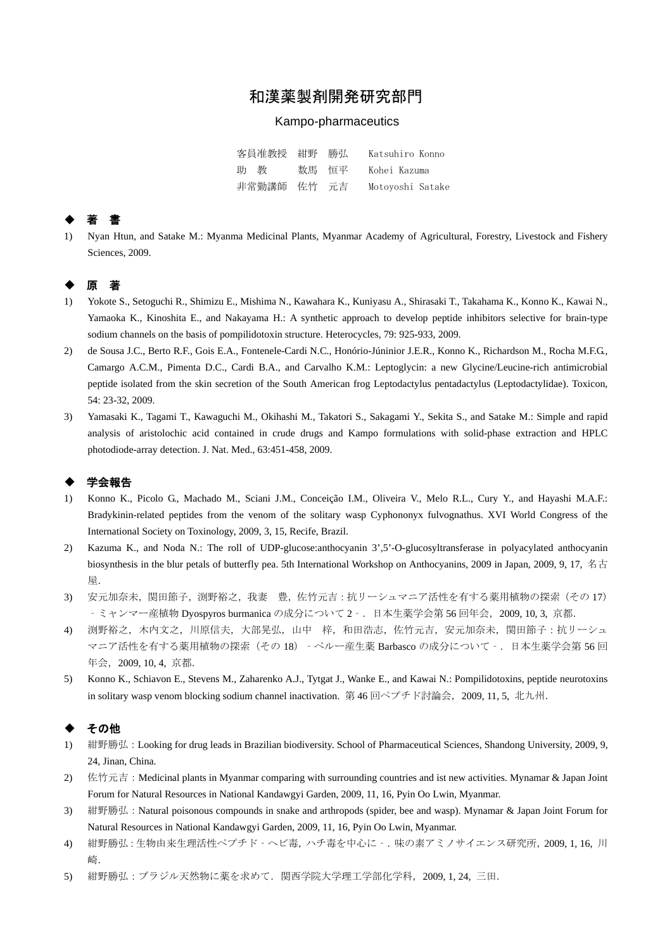# 和漢薬製剤開発研究部門

### Kampo-pharmaceutics

| 客員准教授 紺野 勝弘 |       | Katsuhiro Konno  |
|-------------|-------|------------------|
| 助 教         | 数馬 恒平 | Kohei Kazuma     |
| 非常勤講師 佐竹 元吉 |       | Motoyoshi Satake |

### ◆ 著 書

1) Nyan Htun, and Satake M.: Myanma Medicinal Plants, Myanmar Academy of Agricultural, Forestry, Livestock and Fishery Sciences, 2009.

# ◆ 原 著

- 1) Yokote S., Setoguchi R., Shimizu E., Mishima N., Kawahara K., Kuniyasu A., Shirasaki T., Takahama K., Konno K., Kawai N., Yamaoka K., Kinoshita E., and Nakayama H.: A synthetic approach to develop peptide inhibitors selective for brain-type sodium channels on the basis of pompilidotoxin structure. Heterocycles, 79: 925-933, 2009.
- 2) de Sousa J.C., Berto R.F., Gois E.A., Fontenele-Cardi N.C., Honório-Júninior J.E.R., Konno K., Richardson M., Rocha M.F.G., Camargo A.C.M., Pimenta D.C., Cardi B.A., and Carvalho K.M.: Leptoglycin: a new Glycine/Leucine-rich antimicrobial peptide isolated from the skin secretion of the South American frog Leptodactylus pentadactylus (Leptodactylidae). Toxicon, 54: 23-32, 2009.
- 3) Yamasaki K., Tagami T., Kawaguchi M., Okihashi M., Takatori S., Sakagami Y., Sekita S., and Satake M.: Simple and rapid analysis of aristolochic acid contained in crude drugs and Kampo formulations with solid-phase extraction and HPLC photodiode-array detection. J. Nat. Med., 63:451-458, 2009.

## ◆ 学会報告

- 1) Konno K., Picolo G., Machado M., Sciani J.M., Conceição I.M., Oliveira V., Melo R.L., Cury Y., and Hayashi M.A.F.: Bradykinin-related peptides from the venom of the solitary wasp Cyphononyx fulvognathus. XVI World Congress of the International Society on Toxinology, 2009, 3, 15, Recife, Brazil.
- 2) Kazuma K., and Noda N.: The roll of UDP-glucose:anthocyanin 3',5'-O-glucosyltransferase in polyacylated anthocyanin biosynthesis in the blur petals of butterfly pea. 5th International Workshop on Anthocyanins, 2009 in Japan, 2009, 9, 17, 名古 屋.
- 3) 安元加奈未,関田節子,渕野裕之,我妻 豊,佐竹元吉:抗リーシュマニア活性を有する薬用植物の探索(その 17) ‐ミャンマー産植物 Dyospyros burmanica の成分について 2‐.日本生薬学会第 56 回年会,2009, 10, 3, 京都.
- 4) 渕野裕之,木内文之,川原信夫,大部晃弘,山中 梓,和田浩志,佐竹元吉,安元加奈未,関田節子:抗リーシュ マニア活性を有する薬用植物の探索(その 18)‐ペルー産生薬 Barbasco の成分について‐.日本生薬学会第 56 回 年会,2009, 10, 4, 京都.
- 5) Konno K., Schiavon E., Stevens M., Zaharenko A.J., Tytgat J., Wanke E., and Kawai N.: Pompilidotoxins, peptide neurotoxins in solitary wasp venom blocking sodium channel inactivation. 第 46 回ペプチド討論会, 2009, 11, 5, 北九州.

## ◆ その他

- 1) 紺野勝弘: Looking for drug leads in Brazilian biodiversity. School of Pharmaceutical Sciences, Shandong University, 2009, 9, 24, Jinan, China.
- 2) 佐竹元吉: Medicinal plants in Myanmar comparing with surrounding countries and ist new activities. Mynamar & Japan Joint Forum for Natural Resources in National Kandawgyi Garden, 2009, 11, 16, Pyin Oo Lwin, Myanmar.
- 3) 紺野勝弘: Natural poisonous compounds in snake and arthropods (spider, bee and wasp). Mynamar & Japan Joint Forum for Natural Resources in National Kandawgyi Garden, 2009, 11, 16, Pyin Oo Lwin, Myanmar.
- 4) 紺野勝弘:生物由来生理活性ペプチド‐ヘビ毒,ハチ毒を中心に‐.味の素アミノサイエンス研究所,2009, 1, 16, 川 崎.
- 5) 紺野勝弘:ブラジル天然物に薬を求めて.関西学院大学理工学部化学科,2009, 1, 24, 三田.